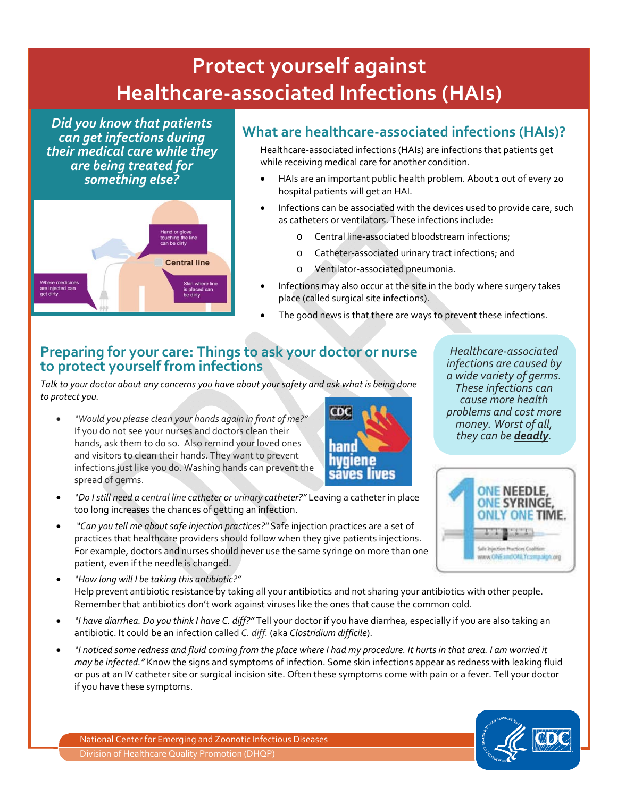## <sup>v</sup> **Protect yourself against Healthcare‐associated Infections (HAIs)**

*Did you know that patients can get infections during their medical care while they are being treated for something else?*



## **What are healthcare‐associated infections (HAIs)?**

Healthcare‐associated infections (HAIs) are infections that patients get while receiving medical care for another condition.

- HAIs are an important public health problem. About 1 out of every 20 hospital patients will get an HAI.
- Infections can be associated with the devices used to provide care, such as catheters or ventilators. These infections include:
	- o Central line‐associated bloodstream infections;
	- o Catheter‐associated urinary tract infections; and
	- o Ventilator‐associated pneumonia.
- Infections may also occur at the site in the body where surgery takes place (called surgical site infections).
- The good news is that there are ways to prevent these infections.

## **Preparing for your care: Things to ask your doctor or nurse to protect yourself from infections**

*Talk to your doctor about any concerns you have about yoursafety and ask what is being done to protect you.* 

• *"Would you please clean your hands again in front of me?"* If you do not see your nurses and doctors clean their hands, ask them to do so. Also remind your loved ones and visitors to clean their hands. They want to prevent infections just like you do. Washing hands can prevent the spread of germs.



*Healthcare‐associated infections are caused by a wide variety of germs. These infections can cause more health problems and cost more money. Worst of all, they can be deadly.*



- *"Do I still need a central line catheter or urinary catheter?"* Leaving a catheter in place too long increases the chances of getting an infection.
- *"Can you tell me aboutsafe injection practices?"* Safe injection practices are a set of practices that healthcare providers should follow when they give patients injections. For example, doctors and nurses should never use the same syringe on more than one patient, even if the needle is changed.
- *"How long will I be taking this antibiotic?"* Help prevent antibiotic resistance by taking all your antibiotics and not sharing your antibiotics with other people. Remember that antibiotics don't work against viruses like the ones that cause the common cold.
- *"I have diarrhea. Do you think I have C. diff?"* Tell your doctor if you have diarrhea, especially if you are also taking an antibiotic. It could be an infection called *C. diff.* (aka *Clostridium difficile*).
- "I noticed some redness and fluid coming from the place where I had my procedure. It hurts in that area. I am worried it *may be infected."* Know the signs and symptoms of infection. Some skin infections appear as redness with leaking fluid or pus at an IV catheter site or surgical incision site. Often these symptoms come with pain or a fever. Tell your doctor if you have these symptoms.